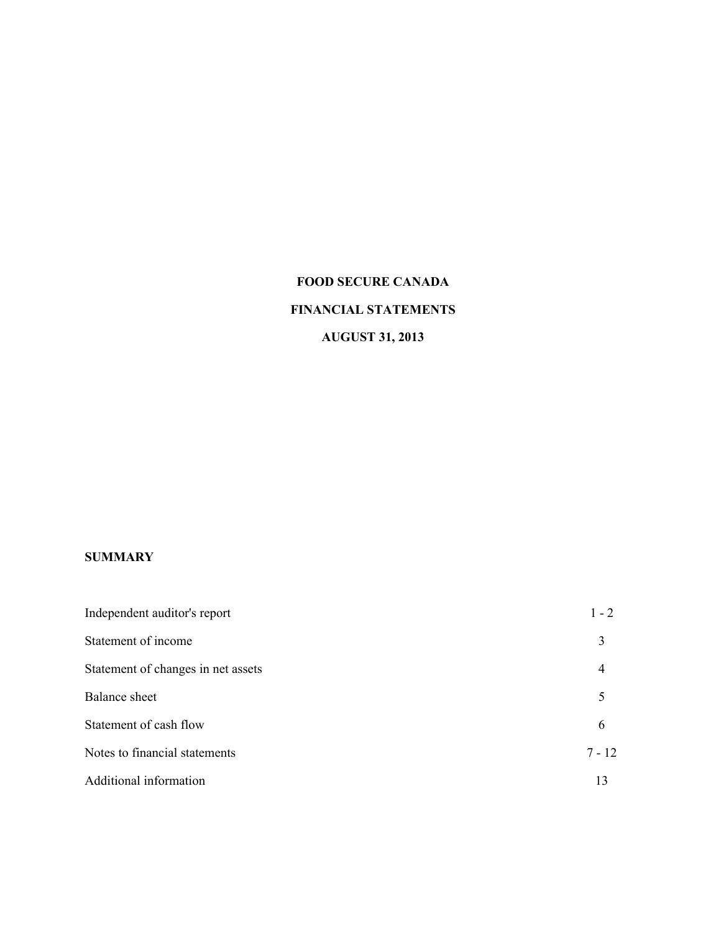# **FOOD SECURE CANADA FINANCIAL STATEMENTS AUGUST 31, 2013**

### **SUMMARY**

| Independent auditor's report       | $1 - 2$  |
|------------------------------------|----------|
| Statement of income                | 3        |
| Statement of changes in net assets | 4        |
| <b>Balance</b> sheet               | 5        |
| Statement of cash flow             | 6        |
| Notes to financial statements      | $7 - 12$ |
| Additional information             | 13       |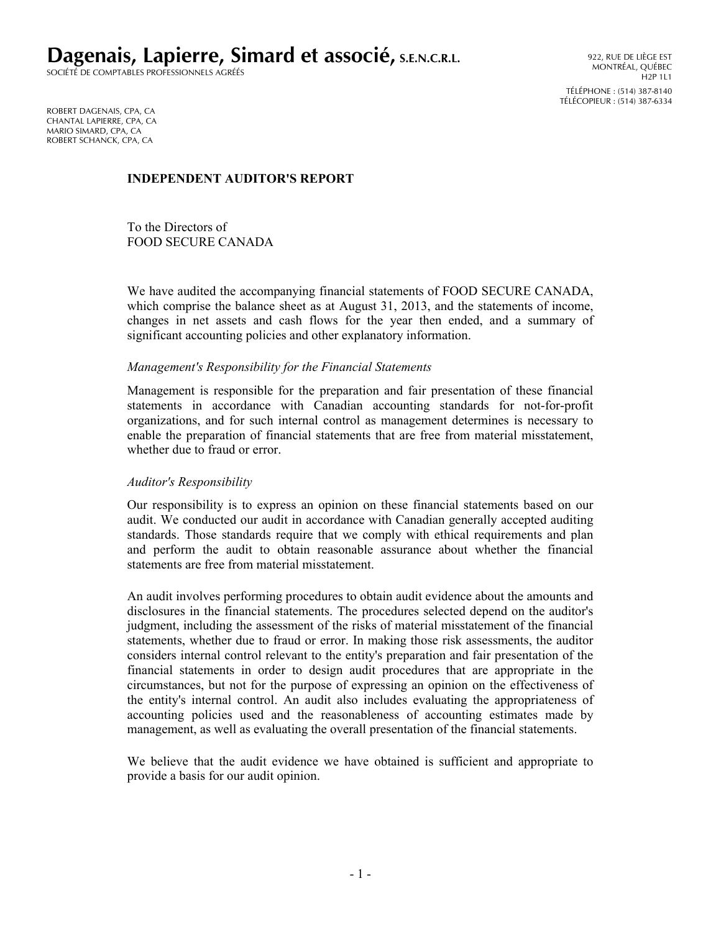**Dagenais, Lapierre, Simard et associé, S.E.N.C.R.L.**

SOCIÉTÉ DE COMPTABLES PROFESSIONNELS AGRÉÉS

ROBERT DAGENAIS, CPA, CA CHANTAL LAPIERRE, CPA, CA MARIO SIMARD, CPA, CA ROBERT SCHANCK, CPA, CA

#### **INDEPENDENT AUDITOR'S REPORT**

To the Directors of FOOD SECURE CANADA

We have audited the accompanying financial statements of FOOD SECURE CANADA, which comprise the balance sheet as at August 31, 2013, and the statements of income, changes in net assets and cash flows for the year then ended, and a summary of significant accounting policies and other explanatory information.

#### *Management's Responsibility for the Financial Statements*

Management is responsible for the preparation and fair presentation of these financial statements in accordance with Canadian accounting standards for not-for-profit organizations, and for such internal control as management determines is necessary to enable the preparation of financial statements that are free from material misstatement, whether due to fraud or error.

#### *Auditor's Responsibility*

Our responsibility is to express an opinion on these financial statements based on our audit. We conducted our audit in accordance with Canadian generally accepted auditing standards. Those standards require that we comply with ethical requirements and plan and perform the audit to obtain reasonable assurance about whether the financial statements are free from material misstatement.

An audit involves performing procedures to obtain audit evidence about the amounts and disclosures in the financial statements. The procedures selected depend on the auditor's judgment, including the assessment of the risks of material misstatement of the financial statements, whether due to fraud or error. In making those risk assessments, the auditor considers internal control relevant to the entity's preparation and fair presentation of the financial statements in order to design audit procedures that are appropriate in the circumstances, but not for the purpose of expressing an opinion on the effectiveness of the entity's internal control. An audit also includes evaluating the appropriateness of accounting policies used and the reasonableness of accounting estimates made by management, as well as evaluating the overall presentation of the financial statements.

We believe that the audit evidence we have obtained is sufficient and appropriate to provide a basis for our audit opinion.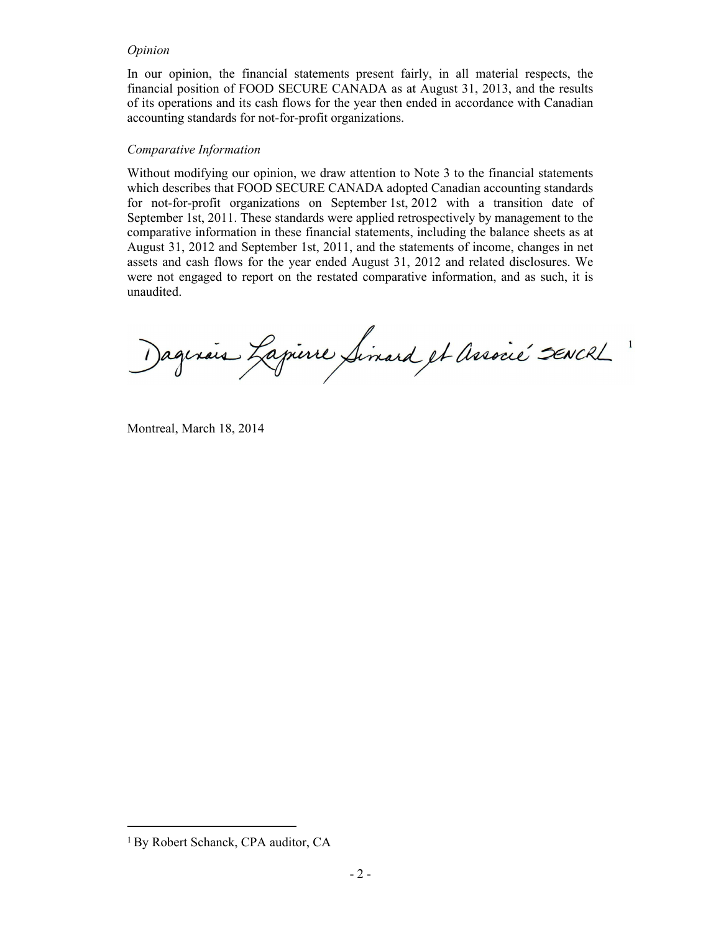#### *Opinion*

In our opinion, the financial statements present fairly, in all material respects, the financial position of FOOD SECURE CANADA as at August 31, 2013, and the results of its operations and its cash flows for the year then ended in accordance with Canadian accounting standards for not-for-profit organizations.

#### *Comparative Information*

Without modifying our opinion, we draw attention to Note 3 to the financial statements which describes that FOOD SECURE CANADA adopted Canadian accounting standards for not-for-profit organizations on September 1st, 2012 with a transition date of September 1st, 2011. These standards were applied retrospectively by management to the comparative information in these financial statements, including the balance sheets as at August 31, 2012 and September 1st, 2011, and the statements of income, changes in net assets and cash flows for the year ended August 31, 2012 and related disclosures. We were not engaged to report on the restated comparative information, and as such, it is unaudited.

agerais Lapierre Simard et Associé sencre

Montreal, March 18, 2014

<sup>&</sup>lt;sup>1</sup> By Robert Schanck, CPA auditor, CA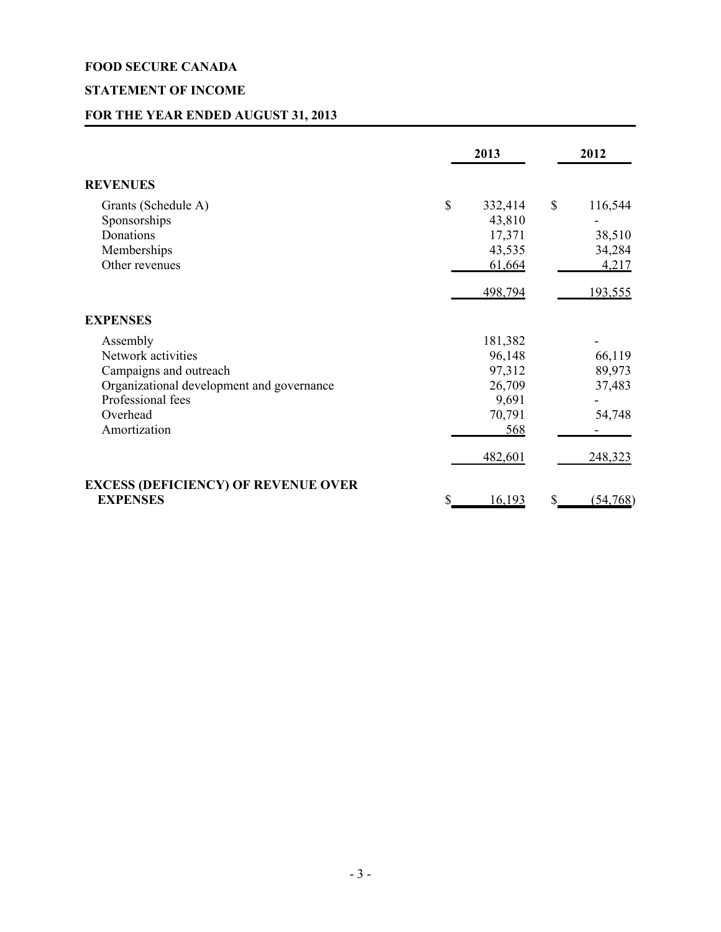# **STATEMENT OF INCOME**

# **FOR THE YEAR ENDED AUGUST 31, 2013**

|                                                                                                                                                        | 2013                                                                       | 2012                                            |
|--------------------------------------------------------------------------------------------------------------------------------------------------------|----------------------------------------------------------------------------|-------------------------------------------------|
| <b>REVENUES</b>                                                                                                                                        |                                                                            |                                                 |
| Grants (Schedule A)<br>Sponsorships<br>Donations<br>Memberships<br>Other revenues                                                                      | \$<br>332,414<br>43,810<br>17,371<br>43,535<br>61,664                      | \$<br>116,544<br>38,510<br>34,284<br>4,217      |
|                                                                                                                                                        | 498,794                                                                    | <u>193,555</u>                                  |
| <b>EXPENSES</b>                                                                                                                                        |                                                                            |                                                 |
| Assembly<br>Network activities<br>Campaigns and outreach<br>Organizational development and governance<br>Professional fees<br>Overhead<br>Amortization | 181,382<br>96,148<br>97,312<br>26,709<br>9,691<br>70,791<br>568<br>482,601 | 66,119<br>89,973<br>37,483<br>54,748<br>248,323 |
| <b>EXCESS (DEFICIENCY) OF REVENUE OVER</b><br><b>EXPENSES</b>                                                                                          | \$<br>16,193                                                               | \$<br>(54, 768)                                 |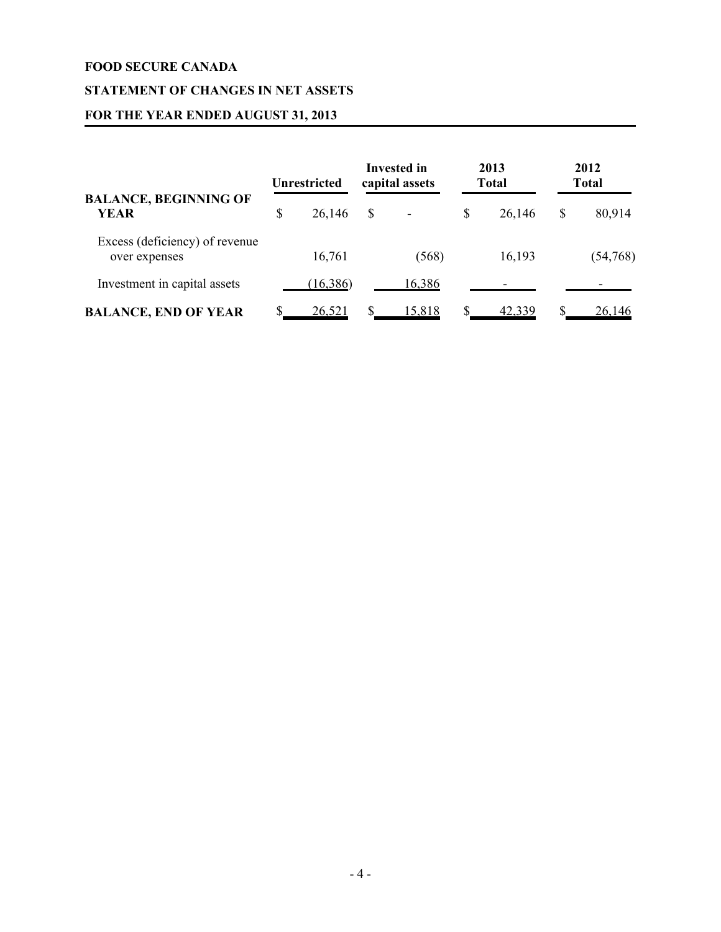# **STATEMENT OF CHANGES IN NET ASSETS**

# **FOR THE YEAR ENDED AUGUST 31, 2013**

|                                                 | <b>Unrestricted</b> |    | <b>Invested in</b><br>capital assets |    | 2013<br><b>Total</b> | 2012<br><b>Total</b> |
|-------------------------------------------------|---------------------|----|--------------------------------------|----|----------------------|----------------------|
| <b>BALANCE, BEGINNING OF</b><br><b>YEAR</b>     | \$<br>26,146        | \$ |                                      | \$ | 26,146               | \$<br>80,914         |
| Excess (deficiency) of revenue<br>over expenses | 16,761              |    | (568)                                |    | 16,193               | (54, 768)            |
| Investment in capital assets                    | (16,386)            |    | 16,386                               |    |                      |                      |
| <b>BALANCE, END OF YEAR</b>                     | <u>26,521</u>       | S  | 15,818                               | S  | <u>42,339</u>        | <u>26,146</u>        |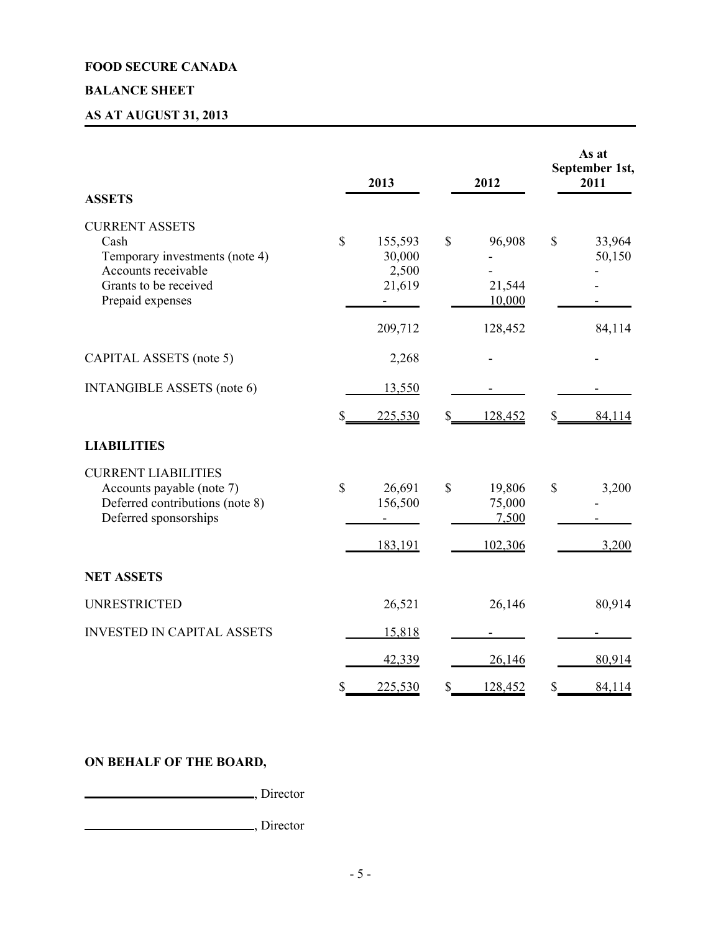# **BALANCE SHEET**

# **AS AT AUGUST 31, 2013**

| <b>ASSETS</b>                                                                                                                       |                           | 2013                                 |             | 2012                                 |                   | As at<br>September 1st,<br>2011 |
|-------------------------------------------------------------------------------------------------------------------------------------|---------------------------|--------------------------------------|-------------|--------------------------------------|-------------------|---------------------------------|
| <b>CURRENT ASSETS</b><br>Cash<br>Temporary investments (note 4)<br>Accounts receivable<br>Grants to be received<br>Prepaid expenses | $\mathbf S$               | 155,593<br>30,000<br>2,500<br>21,619 | \$          | 96,908<br>21,544<br>10,000           | $\mathbb{S}$      | 33,964<br>50,150                |
|                                                                                                                                     |                           | 209,712                              |             | 128,452                              |                   | 84,114                          |
| CAPITAL ASSETS (note 5)                                                                                                             |                           | 2,268                                |             |                                      |                   |                                 |
| <b>INTANGIBLE ASSETS</b> (note 6)                                                                                                   |                           | 13,550                               |             |                                      |                   |                                 |
|                                                                                                                                     | \$_                       | 225,530                              | $S_{-}$     | 128,452                              | $\mathcal{S}_{-}$ | 84,114                          |
| <b>LIABILITIES</b>                                                                                                                  |                           |                                      |             |                                      |                   |                                 |
| <b>CURRENT LIABILITIES</b><br>Accounts payable (note 7)<br>Deferred contributions (note 8)<br>Deferred sponsorships                 | \$                        | 26,691<br>156,500<br>183,191         | $\mathbf S$ | 19,806<br>75,000<br>7,500<br>102,306 | $\mathbb{S}$      | 3,200<br>3,200                  |
| <b>NET ASSETS</b>                                                                                                                   |                           |                                      |             |                                      |                   |                                 |
| <b>UNRESTRICTED</b>                                                                                                                 |                           | 26,521                               |             | 26,146                               |                   | 80,914                          |
| <b>INVESTED IN CAPITAL ASSETS</b>                                                                                                   |                           | 15,818                               |             |                                      |                   |                                 |
|                                                                                                                                     |                           | 42,339                               |             | 26,146                               |                   | 80,914                          |
|                                                                                                                                     | $\boldsymbol{\mathsf{S}}$ | 225,530                              | \$          | 128,452                              | \$                | 84,114                          |

# **ON BEHALF OF THE BOARD,**

**CONSUMER**, Director

, Director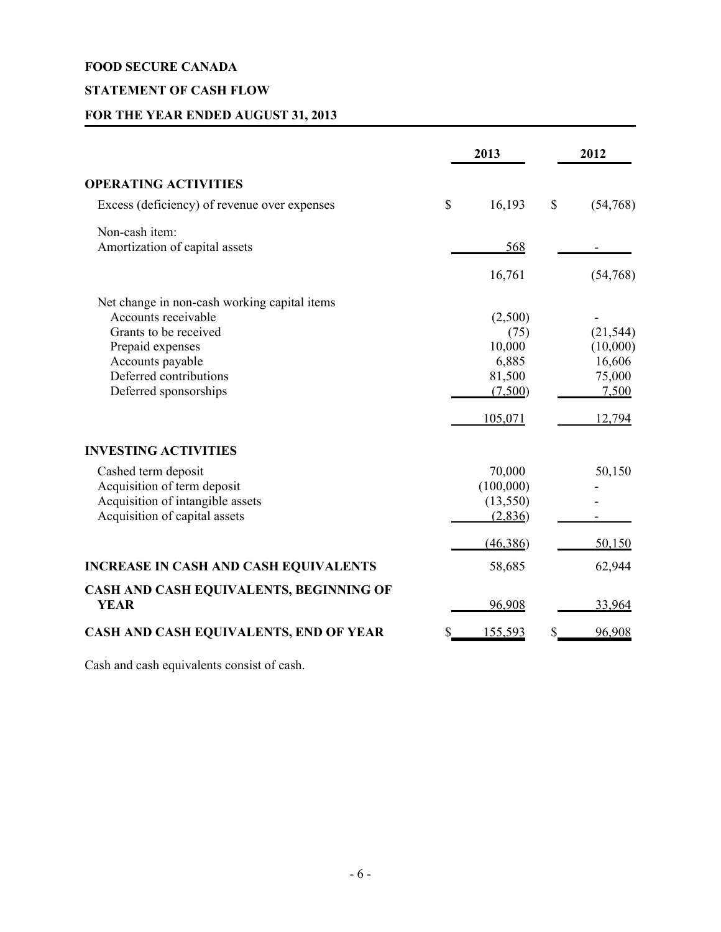# **STATEMENT OF CASH FLOW**

# **FOR THE YEAR ENDED AUGUST 31, 2013**

|                                                                                                                                                                                         | 2013                                                               |    | 2012                                                         |
|-----------------------------------------------------------------------------------------------------------------------------------------------------------------------------------------|--------------------------------------------------------------------|----|--------------------------------------------------------------|
| <b>OPERATING ACTIVITIES</b>                                                                                                                                                             |                                                                    |    |                                                              |
| Excess (deficiency) of revenue over expenses                                                                                                                                            | \$<br>16,193                                                       | \$ | (54,768)                                                     |
| Non-cash item:<br>Amortization of capital assets                                                                                                                                        | 568                                                                |    |                                                              |
|                                                                                                                                                                                         | 16,761                                                             |    | (54,768)                                                     |
| Net change in non-cash working capital items<br>Accounts receivable<br>Grants to be received<br>Prepaid expenses<br>Accounts payable<br>Deferred contributions<br>Deferred sponsorships | (2,500)<br>(75)<br>10,000<br>6,885<br>81,500<br>(7,500)<br>105,071 |    | (21, 544)<br>(10,000)<br>16,606<br>75,000<br>7,500<br>12,794 |
| <b>INVESTING ACTIVITIES</b>                                                                                                                                                             |                                                                    |    |                                                              |
| Cashed term deposit<br>Acquisition of term deposit<br>Acquisition of intangible assets<br>Acquisition of capital assets                                                                 | 70,000<br>(100,000)<br>(13, 550)<br>(2,836)                        |    | 50,150                                                       |
|                                                                                                                                                                                         | (46,386)                                                           |    | 50,150                                                       |
| <b>INCREASE IN CASH AND CASH EQUIVALENTS</b>                                                                                                                                            | 58,685                                                             |    | 62,944                                                       |
| CASH AND CASH EQUIVALENTS, BEGINNING OF<br><b>YEAR</b>                                                                                                                                  | 96,908                                                             |    | <u>33,964</u>                                                |
| CASH AND CASH EQUIVALENTS, END OF YEAR                                                                                                                                                  | 155,593                                                            | S  | 96,908                                                       |

Cash and cash equivalents consist of cash.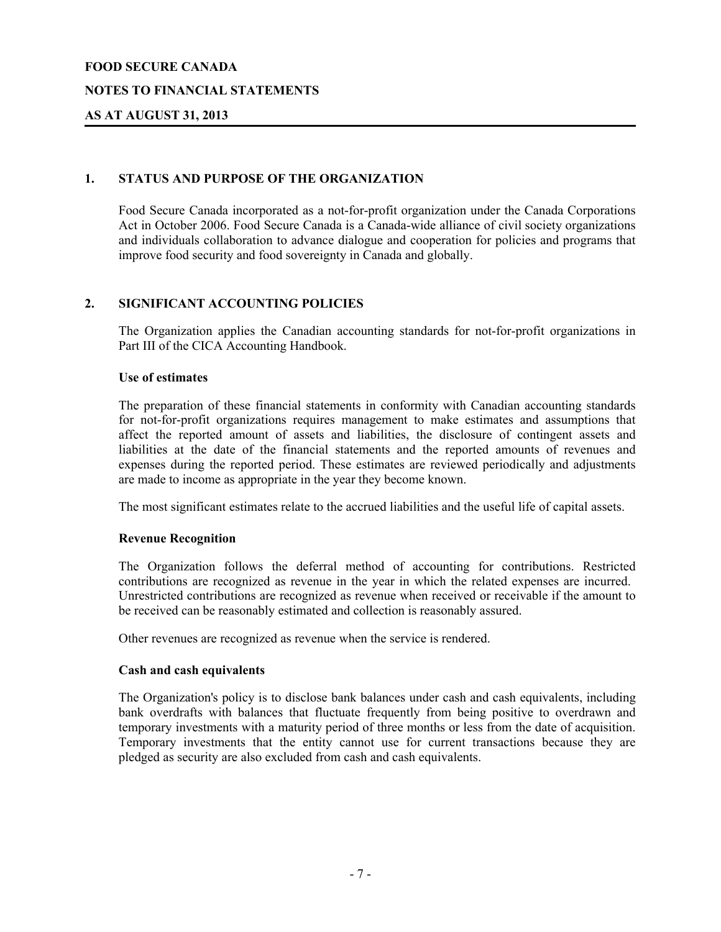#### **NOTES TO FINANCIAL STATEMENTS**

### **AS AT AUGUST 31, 2013**

#### **1. STATUS AND PURPOSE OF THE ORGANIZATION**

Food Secure Canada incorporated as a not-for-profit organization under the Canada Corporations Act in October 2006. Food Secure Canada is a Canada-wide alliance of civil society organizations and individuals collaboration to advance dialogue and cooperation for policies and programs that improve food security and food sovereignty in Canada and globally.

#### **2. SIGNIFICANT ACCOUNTING POLICIES**

The Organization applies the Canadian accounting standards for not-for-profit organizations in Part III of the CICA Accounting Handbook.

#### **Use of estimates**

The preparation of these financial statements in conformity with Canadian accounting standards for not-for-profit organizations requires management to make estimates and assumptions that affect the reported amount of assets and liabilities, the disclosure of contingent assets and liabilities at the date of the financial statements and the reported amounts of revenues and expenses during the reported period. These estimates are reviewed periodically and adjustments are made to income as appropriate in the year they become known.

The most significant estimates relate to the accrued liabilities and the useful life of capital assets.

#### **Revenue Recognition**

The Organization follows the deferral method of accounting for contributions. Restricted contributions are recognized as revenue in the year in which the related expenses are incurred. Unrestricted contributions are recognized as revenue when received or receivable if the amount to be received can be reasonably estimated and collection is reasonably assured.

Other revenues are recognized as revenue when the service is rendered.

#### **Cash and cash equivalents**

The Organization's policy is to disclose bank balances under cash and cash equivalents, including bank overdrafts with balances that fluctuate frequently from being positive to overdrawn and temporary investments with a maturity period of three months or less from the date of acquisition. Temporary investments that the entity cannot use for current transactions because they are pledged as security are also excluded from cash and cash equivalents.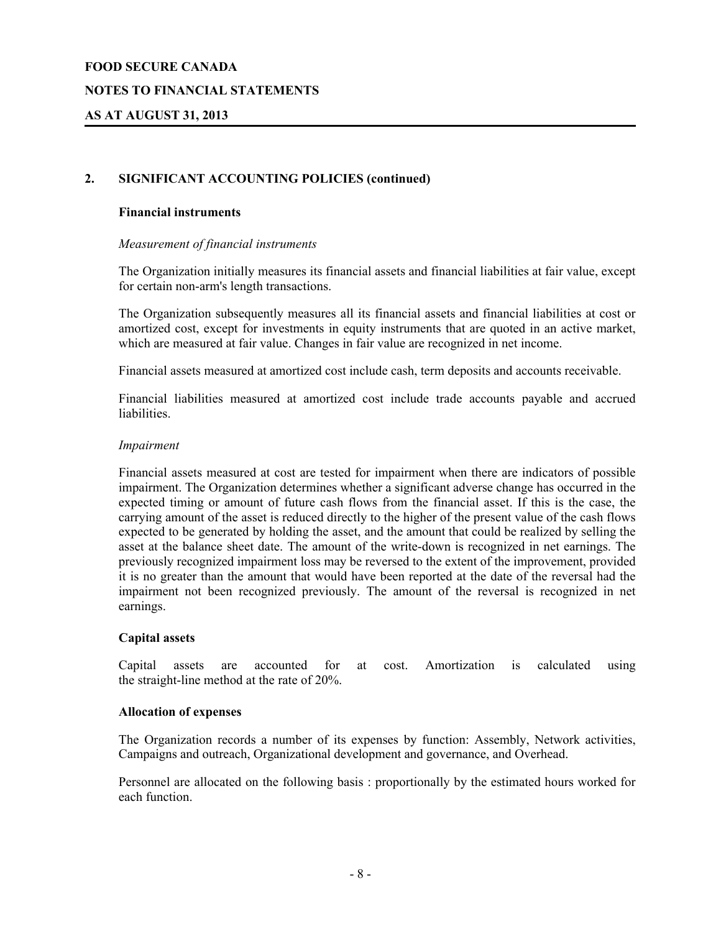#### **NOTES TO FINANCIAL STATEMENTS**

### **AS AT AUGUST 31, 2013**

#### **2. SIGNIFICANT ACCOUNTING POLICIES (continued)**

#### **Financial instruments**

#### *Measurement of financial instruments*

The Organization initially measures its financial assets and financial liabilities at fair value, except for certain non-arm's length transactions.

The Organization subsequently measures all its financial assets and financial liabilities at cost or amortized cost, except for investments in equity instruments that are quoted in an active market, which are measured at fair value. Changes in fair value are recognized in net income.

Financial assets measured at amortized cost include cash, term deposits and accounts receivable.

Financial liabilities measured at amortized cost include trade accounts payable and accrued liabilities.

#### *Impairment*

Financial assets measured at cost are tested for impairment when there are indicators of possible impairment. The Organization determines whether a significant adverse change has occurred in the expected timing or amount of future cash flows from the financial asset. If this is the case, the carrying amount of the asset is reduced directly to the higher of the present value of the cash flows expected to be generated by holding the asset, and the amount that could be realized by selling the asset at the balance sheet date. The amount of the write-down is recognized in net earnings. The previously recognized impairment loss may be reversed to the extent of the improvement, provided it is no greater than the amount that would have been reported at the date of the reversal had the impairment not been recognized previously. The amount of the reversal is recognized in net earnings.

#### **Capital assets**

Capital assets are accounted for at cost. Amortization is calculated using the straight-line method at the rate of 20%.

#### **Allocation of expenses**

The Organization records a number of its expenses by function: Assembly, Network activities, Campaigns and outreach, Organizational development and governance, and Overhead.

Personnel are allocated on the following basis : proportionally by the estimated hours worked for each function.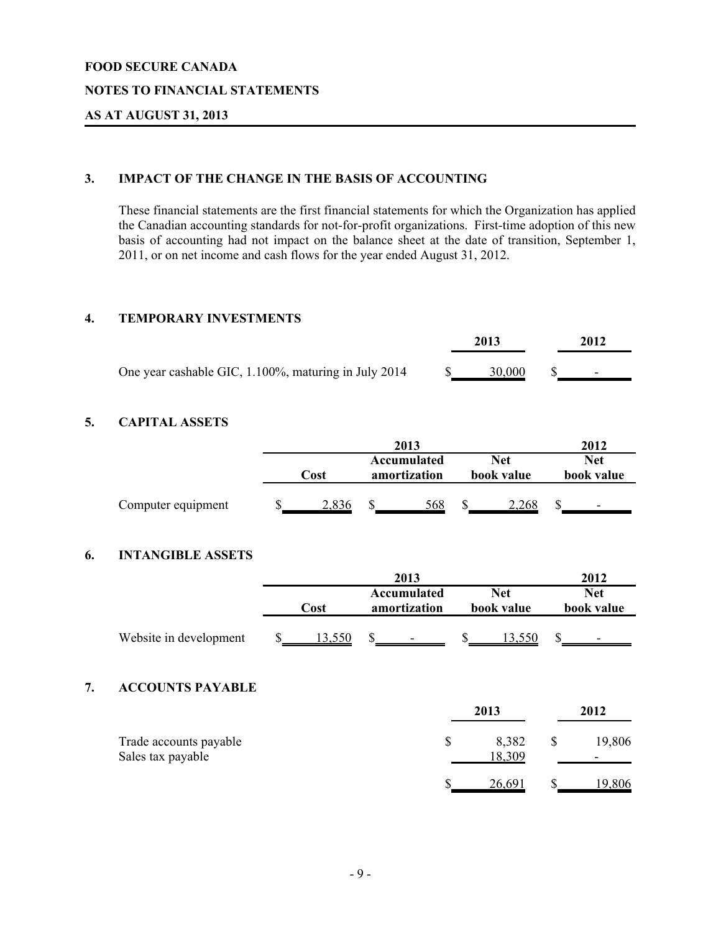#### **NOTES TO FINANCIAL STATEMENTS**

### **AS AT AUGUST 31, 2013**

# **3. IMPACT OF THE CHANGE IN THE BASIS OF ACCOUNTING**

These financial statements are the first financial statements for which the Organization has applied the Canadian accounting standards for not-for-profit organizations. First-time adoption of this new basis of accounting had not impact on the balance sheet at the date of transition, September 1, 2011, or on net income and cash flows for the year ended August 31, 2012.

#### **4. TEMPORARY INVESTMENTS**

|                                                      | 2013   | 2012                     |
|------------------------------------------------------|--------|--------------------------|
| One year cashable GIC, 1.100%, maturing in July 2014 | 30,000 | $\overline{\phantom{0}}$ |

# **5. CAPITAL ASSETS**

|                    | 2013 |               |                             |     |  |                   | 2012 |                          |  |
|--------------------|------|---------------|-----------------------------|-----|--|-------------------|------|--------------------------|--|
|                    | Cost |               | Accumulated<br>amortization |     |  | Net<br>book value |      | Net<br>book value        |  |
| Computer equipment |      | $\angle$ ,836 |                             | 568 |  | 2.268             |      | $\overline{\phantom{0}}$ |  |

#### **6. INTANGIBLE ASSETS**

|    |                         |        | 2013                        |                          | 2012                     |
|----|-------------------------|--------|-----------------------------|--------------------------|--------------------------|
|    |                         | Cost   | Accumulated<br>amortization | <b>Net</b><br>book value | <b>Net</b><br>book value |
|    | Website in development  | 13,550 | \$                          | 13,550                   |                          |
| 7. | <b>ACCOUNTS PAYABLE</b> |        |                             |                          |                          |

|                                             |  | 2012            |  |                                    |
|---------------------------------------------|--|-----------------|--|------------------------------------|
| Trade accounts payable<br>Sales tax payable |  | 8,382<br>18,309 |  | 19,806<br>$\overline{\phantom{a}}$ |
|                                             |  | 26,691          |  | <u> 19,806</u>                     |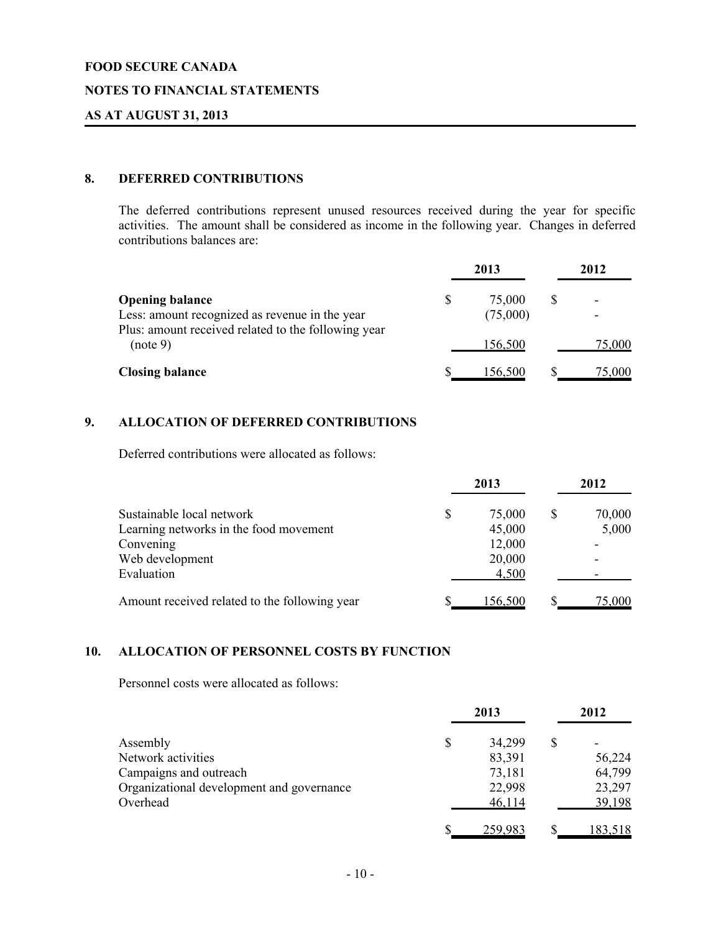#### **NOTES TO FINANCIAL STATEMENTS**

### **AS AT AUGUST 31, 2013**

# **8. DEFERRED CONTRIBUTIONS**

The deferred contributions represent unused resources received during the year for specific activities. The amount shall be considered as income in the following year. Changes in deferred contributions balances are:

|                                                                          |   | 2013               | 2012                                                 |
|--------------------------------------------------------------------------|---|--------------------|------------------------------------------------------|
| <b>Opening balance</b><br>Less: amount recognized as revenue in the year | S | 75,000<br>(75,000) | $\overline{\phantom{0}}$<br>$\overline{\phantom{0}}$ |
| Plus: amount received related to the following year<br>(note 9)          |   | 156,500            | 75,000                                               |
| <b>Closing balance</b>                                                   |   | 156.500            | 75,000                                               |

# **9. ALLOCATION OF DEFERRED CONTRIBUTIONS**

Deferred contributions were allocated as follows:

|                                               | 2013         | 2012   |
|-----------------------------------------------|--------------|--------|
| Sustainable local network                     | \$<br>75,000 | 70,000 |
| Learning networks in the food movement        | 45,000       | 5,000  |
| Convening                                     | 12,000       |        |
| Web development                               | 20,000       |        |
| Evaluation                                    | 4,500        |        |
| Amount received related to the following year | 156.500      | 75,000 |

#### **10. ALLOCATION OF PERSONNEL COSTS BY FUNCTION**

Personnel costs were allocated as follows:

|                                           | 2013         | 2012    |
|-------------------------------------------|--------------|---------|
| Assembly                                  | \$<br>34,299 |         |
| Network activities                        | 83,391       | 56,224  |
| Campaigns and outreach                    | 73,181       | 64,799  |
| Organizational development and governance | 22,998       | 23,297  |
| Overhead                                  | 46,114       | 39,198  |
|                                           | 259,983      | 183,518 |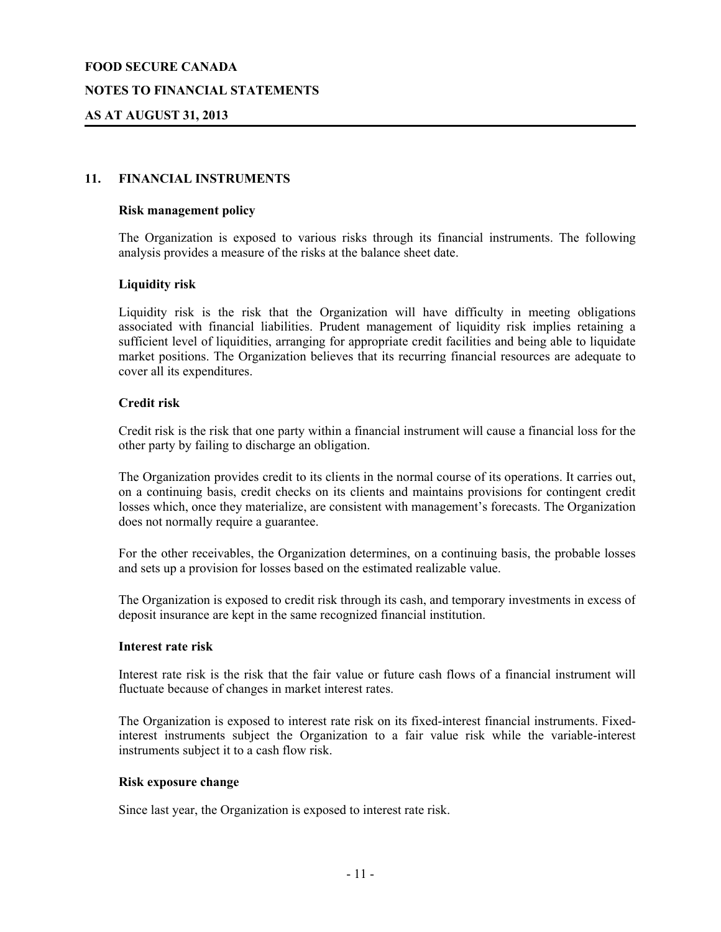#### **NOTES TO FINANCIAL STATEMENTS**

### **AS AT AUGUST 31, 2013**

#### **11. FINANCIAL INSTRUMENTS**

#### **Risk management policy**

The Organization is exposed to various risks through its financial instruments. The following analysis provides a measure of the risks at the balance sheet date.

#### **Liquidity risk**

Liquidity risk is the risk that the Organization will have difficulty in meeting obligations associated with financial liabilities. Prudent management of liquidity risk implies retaining a sufficient level of liquidities, arranging for appropriate credit facilities and being able to liquidate market positions. The Organization believes that its recurring financial resources are adequate to cover all its expenditures.

#### **Credit risk**

Credit risk is the risk that one party within a financial instrument will cause a financial loss for the other party by failing to discharge an obligation.

The Organization provides credit to its clients in the normal course of its operations. It carries out, on a continuing basis, credit checks on its clients and maintains provisions for contingent credit losses which, once they materialize, are consistent with management's forecasts. The Organization does not normally require a guarantee.

For the other receivables, the Organization determines, on a continuing basis, the probable losses and sets up a provision for losses based on the estimated realizable value.

The Organization is exposed to credit risk through its cash, and temporary investments in excess of deposit insurance are kept in the same recognized financial institution.

#### **Interest rate risk**

Interest rate risk is the risk that the fair value or future cash flows of a financial instrument will fluctuate because of changes in market interest rates.

The Organization is exposed to interest rate risk on its fixed-interest financial instruments. Fixedinterest instruments subject the Organization to a fair value risk while the variable-interest instruments subject it to a cash flow risk.

#### **Risk exposure change**

Since last year, the Organization is exposed to interest rate risk.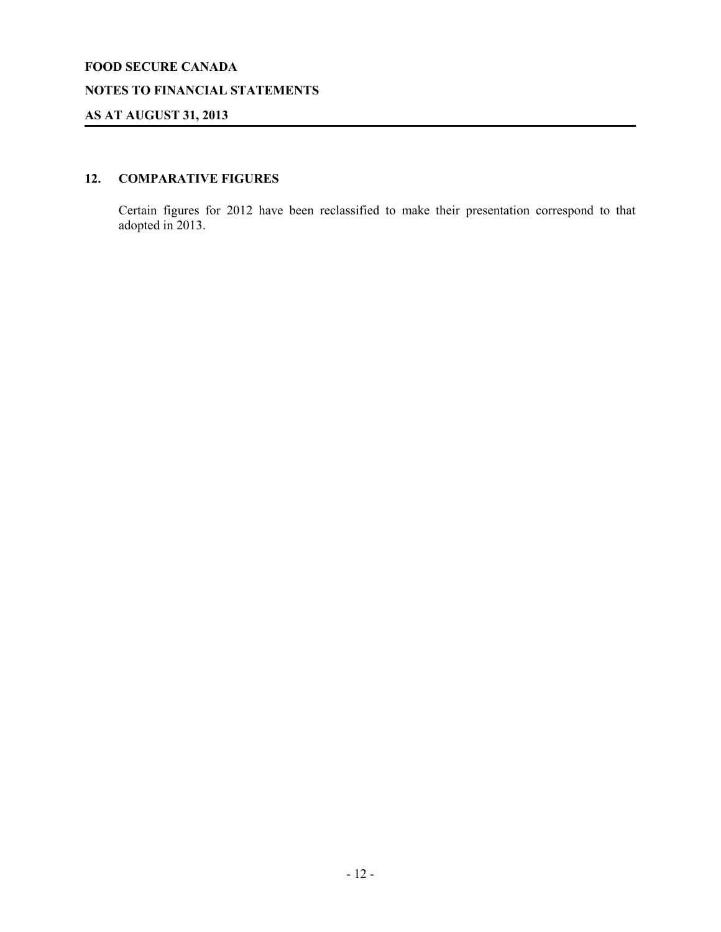### **NOTES TO FINANCIAL STATEMENTS**

# **AS AT AUGUST 31, 2013**

# **12. COMPARATIVE FIGURES**

Certain figures for 2012 have been reclassified to make their presentation correspond to that adopted in 2013.